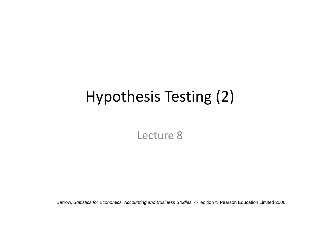# Hypothesis Testing (2)

Lecture 8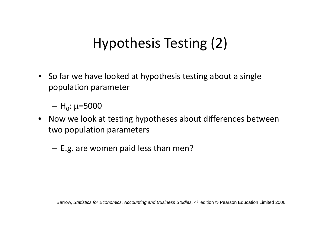# Hypothesis Testing (2)

• So far we have looked at hypothesis testing about <sup>a</sup> single population parameter

– H<sub>0</sub>: μ=5000

- Now we look at testing hypotheses about differences between two population parameters
	- E.g. are women paid less than men?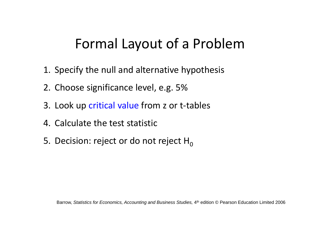### Formal Layout of <sup>a</sup> Problem

- 1. Specify the null and alternative hypothesis
- 2. Choose significance level, e.g. 5%
- 3. Look up critical value from z or t-tables
- 4. Calculate the test statistic
- 5. Decision: reject or do not reject  ${\sf H}_0$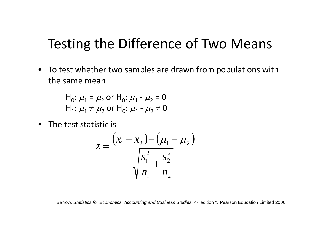#### Testing the Difference of Two Means

• To test whether two samples are drawn from populations with the same mean

> H $_0$ :  $\mu_1$  =  $\mu_2$  or H $_0$ :  $\mu_1$  -  $\mu_2$  = 0  $\mathsf{H}_{1}\!\!: \mu_{1}^{}\neq \mu_{2}^{}\,$  or  $\mathsf{H}_{0}\!\!: \mu_{1}^{}\!\; \cdot \mu_{2}^{}\neq 0$

• The test statistic is

$$
z = \frac{(\overline{x}_1 - \overline{x}_2) - (\mu_1 - \mu_2)}{\sqrt{\frac{s_1^2}{n_1} + \frac{s_2^2}{n_2}}}
$$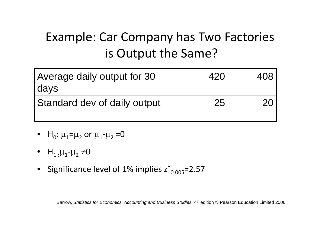#### Example: Car Company has Two Factories is Output the Same?

| Average daily output for 30<br>days |    |  |
|-------------------------------------|----|--|
| Standard dev of daily output        | 25 |  |

- $\bullet$  H<sub>0</sub>:  $\mu_1$ = $\mu_2$  or  $\mu_1$ - $\mu_2$  =0
- $H_1$ <sub>:</sub> $\mu_1$ - $\mu_2 \neq 0$
- Significance level of 1% implies  $z^*_{0.005}$ =2.57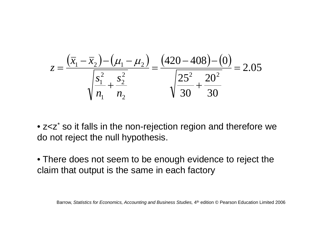$$
z = \frac{(\overline{x}_1 - \overline{x}_2) - (\mu_1 - \mu_2)}{\sqrt{\frac{s_1^2}{n_1} + \frac{s_2^2}{n_2}}} = \frac{(420 - 408) - (0)}{\sqrt{\frac{25^2}{30} + \frac{20^2}{30}}} = 2.05
$$

• z<z \* so it falls in the non-rejection region and therefore we do not reject the null hypothesis.

• There does not seem to be enough evidence to reject the claim that output is the same in each factory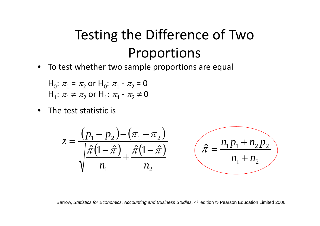# Testing the Difference of Two Proportions

• To test whether two sample proportions are equal

H $_0:$   $\pi_1$  =  $\pi_2$  or H $_0:$   $\pi_1$  -  $\pi_2$  = 0  $\mathsf{H}_{1}\!\!: \pi_{\!1} \neq \pi_{\!2}$  or  $\mathsf{H}_{1}\!\!: \pi_{\!1}$  -  $\pi_{\!2} \!\neq\! 0$ 

• The test statistic is

$$
z = \frac{(p_1 - p_2) - (\pi_1 - \pi_2)}{\sqrt{\frac{\hat{\pi}(1 - \hat{\pi})}{n_1} + \frac{\hat{\pi}(1 - \hat{\pi})}{n_2}}}
$$
  $(\hat{\pi} = \frac{n_1 p_1 + n_2 p_2}{n_1 + n_2})$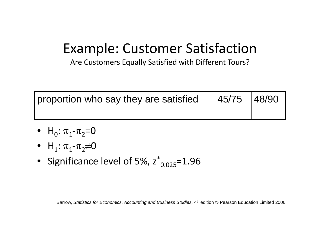# Example: Customer Satisfaction

Are Customers Equally Satisfied with Different Tours?

| proportion who say they are satisfied | 45/75 48/90 |  |
|---------------------------------------|-------------|--|
|                                       |             |  |

- H<sub>0</sub>:  $\pi_1$ - $\pi_2$ =0
- $H_1: \pi_1\text{-}\pi_2\text{\text{*}}0$
- Significance level of 5%,  $z^*_{0.025}$ =1.96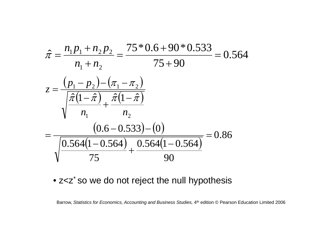

#### • z<z\* so we do not reject the null hypothesis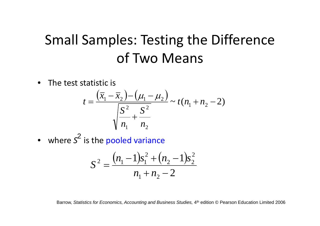# Small Samples: Testing the Difference of Two Means

• The test statistic is

$$
t = \frac{(\overline{x}_1 - \overline{x}_2) - (\mu_1 - \mu_2)}{\sqrt{\frac{S^2}{n_1} + \frac{S^2}{n_2}}} \sim t(n_1 + n_2 - 2)
$$

here S<sup>out</sup> is the pooled vari • where  $s^2$  is the pooled variance

$$
S^{2} = \frac{(n_{1} - 1)s_{1}^{2} + (n_{2} - 1)s_{2}^{2}}{n_{1} + n_{2} - 2}
$$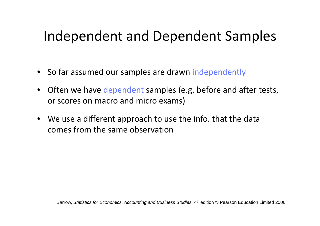### Independent and Dependent Samples

- So far assumed our samples are drawn independently
- Often we have dependent samples (e.g. before and after tests, or scores on macro and micro exams)
- We use <sup>a</sup> different approach to use the info. that the data comes from the same observation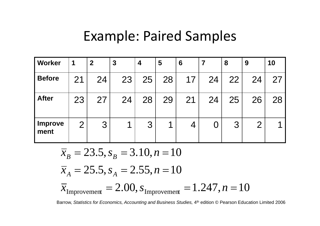#### Example: Paired Samples

| <b>Worker</b>          | 1              | $\boldsymbol{2}$ | $\boldsymbol{3}$ | 4  | 5                        | 6  | 7  | 8  | 9              | 10 |
|------------------------|----------------|------------------|------------------|----|--------------------------|----|----|----|----------------|----|
| <b>Before</b>          | 21             | 24               | 23               | 25 | 28                       | 17 | 24 | 22 | 24             | 27 |
| <b>After</b>           | 23             | 27               | 24               | 28 | 29                       | 21 | 24 | 25 | 26             | 28 |
| <b>Improve</b><br>ment | $\overline{2}$ | 3                |                  | 3  | $\overline{\mathcal{A}}$ |    | U  | 3  | $\overline{2}$ |    |

 $\bar{x}_B = 23.5, s_B = 3.10, n = 10$  $T_{\text{Improvement}} = 2.00, s_{\text{Improvement}} = 1.247, n = 10$  $25.5, s_4 = 2.55, n=10$  $=$  2.00,  $S_{\rm I}$  $x_{\text{transformation}} = 2.00, S_{\text{transformation}} = 1.24$  *i*,  $n =$  $x_A = \angle 5.5, s_A = \angle .55, n =$ Improvement  $= 2.00$ ,  $s_{\text{Improvement}} = 1.247$ ,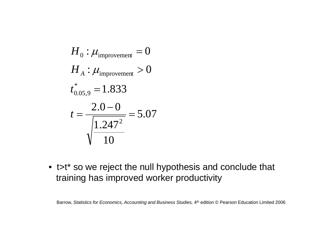$$
H_0: \mu_{\text{improvement}} = 0
$$
  
\n
$$
H_A: \mu_{\text{improvement}} > 0
$$
  
\n
$$
t^*_{0.05,9} = 1.833
$$
  
\n
$$
t = \frac{2.0 - 0}{\sqrt{1.247^2}} = 5.07
$$

• t>t\* so we reject the null hypothesis and conclude that training has improved worker productivity